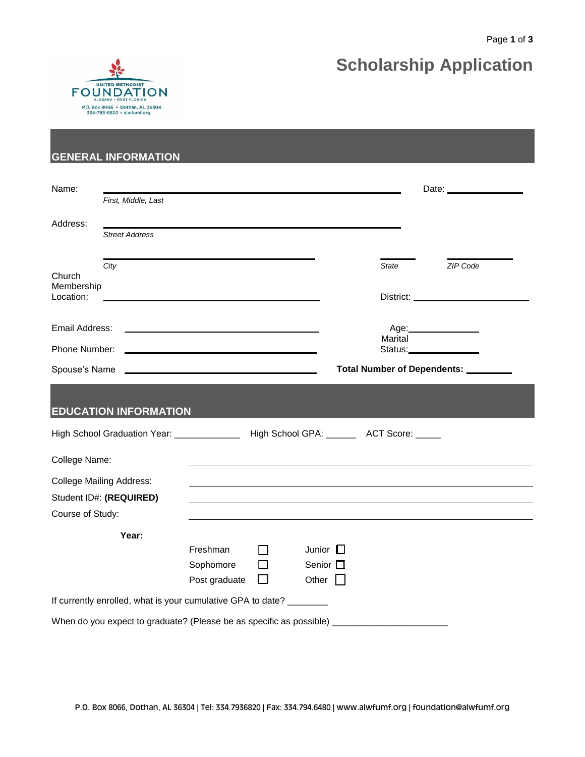

# **Scholarship Application**

#### **GENERAL INFORMATION**

| Name:                             |                                                                                              |                       |        |                                   |                                                                  |              |                        |  |  |
|-----------------------------------|----------------------------------------------------------------------------------------------|-----------------------|--------|-----------------------------------|------------------------------------------------------------------|--------------|------------------------|--|--|
|                                   | First, Middle, Last                                                                          |                       |        |                                   |                                                                  |              |                        |  |  |
| Address:                          |                                                                                              |                       |        |                                   |                                                                  |              |                        |  |  |
|                                   | <b>Street Address</b>                                                                        |                       |        |                                   |                                                                  |              |                        |  |  |
| Church<br>Membership<br>Location: | City                                                                                         |                       |        |                                   |                                                                  | <b>State</b> | ZIP Code               |  |  |
| Email Address:                    |                                                                                              |                       |        |                                   |                                                                  | Marital      | Age: _________________ |  |  |
| Phone Number:<br>Spouse's Name    |                                                                                              |                       |        |                                   | Status:________________<br>Total Number of Dependents: _________ |              |                        |  |  |
|                                   | <b>EDUCATION INFORMATION</b>                                                                 |                       |        |                                   |                                                                  |              |                        |  |  |
|                                   | High School Graduation Year: ___________________ High School GPA: _________ ACT Score: _____ |                       |        |                                   |                                                                  |              |                        |  |  |
| College Name:                     |                                                                                              |                       |        |                                   |                                                                  |              |                        |  |  |
|                                   | <b>College Mailing Address:</b>                                                              |                       |        |                                   |                                                                  |              |                        |  |  |
|                                   | Student ID#: (REQUIRED)                                                                      |                       |        |                                   |                                                                  |              |                        |  |  |
| Course of Study:                  |                                                                                              |                       |        |                                   |                                                                  |              |                        |  |  |
|                                   | Year:                                                                                        | Freshman<br>Sophomore | П      | Junior $\Box$<br>Senior $\square$ |                                                                  |              |                        |  |  |
|                                   |                                                                                              | Post graduate         | $\Box$ | Other $  $                        |                                                                  |              |                        |  |  |
|                                   | If currently enrolled, what is your cumulative GPA to date? ________                         |                       |        |                                   |                                                                  |              |                        |  |  |
|                                   | When do you expect to graduate? (Please be as specific as possible)                          |                       |        |                                   |                                                                  |              |                        |  |  |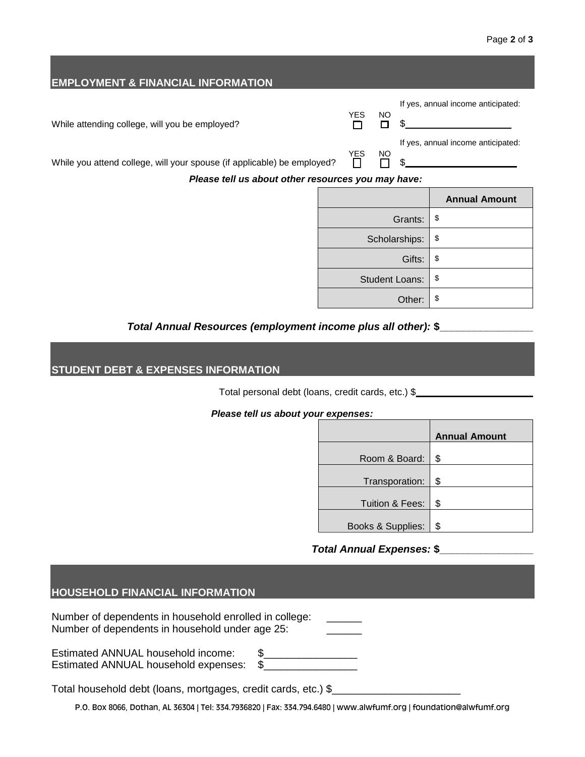| <b>EMPLOYMENT &amp; FINANCIAL INFORMATION</b>                                                                                 |  |            |         |                                    |                                    |  |
|-------------------------------------------------------------------------------------------------------------------------------|--|------------|---------|------------------------------------|------------------------------------|--|
|                                                                                                                               |  | <b>YES</b> |         |                                    | If yes, annual income anticipated: |  |
| While attending college, will you be employed?                                                                                |  |            | NO<br>П |                                    |                                    |  |
| While you attend college, will your spouse (if applicable) be employed?<br>Please tell us about other resources you may have: |  | <b>YES</b> | NO      | If yes, annual income anticipated: |                                    |  |
|                                                                                                                               |  |            |         |                                    | <b>Annual Amount</b>               |  |
|                                                                                                                               |  |            |         | Grants:                            | \$                                 |  |
|                                                                                                                               |  |            |         |                                    |                                    |  |
|                                                                                                                               |  |            |         | Scholarships:                      | \$                                 |  |
|                                                                                                                               |  |            |         | Gifts:                             | \$                                 |  |
|                                                                                                                               |  |            |         | <b>Student Loans:</b>              | \$                                 |  |
|                                                                                                                               |  |            |         | Other:                             | \$                                 |  |

#### *Total Annual Resources (employment income plus all other):* **\$\_\_\_\_\_\_\_\_\_\_\_\_\_\_\_\_**

# **STUDENT DEBT & EXPENSES INFORMATION**

Total personal debt (loans, credit cards, etc.) \$\_\_\_\_\_\_\_\_\_\_\_\_\_\_\_\_\_\_\_\_\_\_\_\_\_\_\_\_\_\_\_

# *Please tell us about your expenses:*

|                   | <b>Annual Amount</b> |
|-------------------|----------------------|
| Room & Board:     | \$                   |
|                   |                      |
| Transporation:    | \$                   |
| Tuition & Fees:   | \$                   |
| Books & Supplies: | \$                   |

# *Total Annual Expenses:* **\$\_\_\_\_\_\_\_\_\_\_\_\_\_\_\_\_**

| <b>HOUSEHOLD FINANCIAL INFORMATION</b>                                                                            |
|-------------------------------------------------------------------------------------------------------------------|
| Number of dependents in household enrolled in college:<br>Number of dependents in household under age 25:         |
| £.<br>Estimated ANNUAL household income:<br>\$<br>Estimated ANNUAL household expenses:                            |
| Total household debt (loans, mortgages, credit cards, etc.) \$                                                    |
| P.O. Box 8066, Dothan, AL 36304   Tel: 334.7936820   Fax: 334.794.6480   www.alwfumf.org   foundation@alwfumf.org |